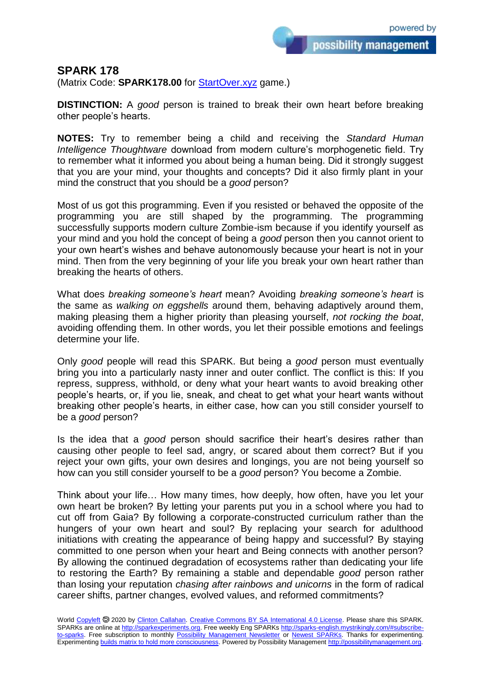possibility management

## **SPARK 178**

(Matrix Code: **SPARK178.00** for **StartOver.xyz** game.)

**DISTINCTION:** A *good* person is trained to break their own heart before breaking other people's hearts.

**NOTES:** Try to remember being a child and receiving the *Standard Human Intelligence Thoughtware* download from modern culture's morphogenetic field. Try to remember what it informed you about being a human being. Did it strongly suggest that you are your mind, your thoughts and concepts? Did it also firmly plant in your mind the construct that you should be a *good* person?

Most of us got this programming. Even if you resisted or behaved the opposite of the programming you are still shaped by the programming. The programming successfully supports modern culture Zombie-ism because if you identify yourself as your mind and you hold the concept of being a *good* person then you cannot orient to your own heart's wishes and behave autonomously because your heart is not in your mind. Then from the very beginning of your life you break your own heart rather than breaking the hearts of others.

What does *breaking someone's heart* mean? Avoiding *breaking someone's heart* is the same as *walking on eggshells* around them, behaving adaptively around them, making pleasing them a higher priority than pleasing yourself, *not rocking the boat*, avoiding offending them. In other words, you let their possible emotions and feelings determine your life.

Only *good* people will read this SPARK. But being a *good* person must eventually bring you into a particularly nasty inner and outer conflict. The conflict is this: If you repress, suppress, withhold, or deny what your heart wants to avoid breaking other people's hearts, or, if you lie, sneak, and cheat to get what your heart wants without breaking other people's hearts, in either case, how can you still consider yourself to be a *good* person?

Is the idea that a *good* person should sacrifice their heart's desires rather than causing other people to feel sad, angry, or scared about them correct? But if you reject your own gifts, your own desires and longings, you are not being yourself so how can you still consider yourself to be a *good* person? You become a Zombie.

Think about your life… How many times, how deeply, how often, have you let your own heart be broken? By letting your parents put you in a school where you had to cut off from Gaia? By following a corporate-constructed curriculum rather than the hungers of your own heart and soul? By replacing your search for adulthood initiations with creating the appearance of being happy and successful? By staying committed to one person when your heart and Being connects with another person? By allowing the continued degradation of ecosystems rather than dedicating your life to restoring the Earth? By remaining a stable and dependable *good* person rather than losing your reputation *chasing after rainbows and unicorns* in the form of radical career shifts, partner changes, evolved values, and reformed commitments?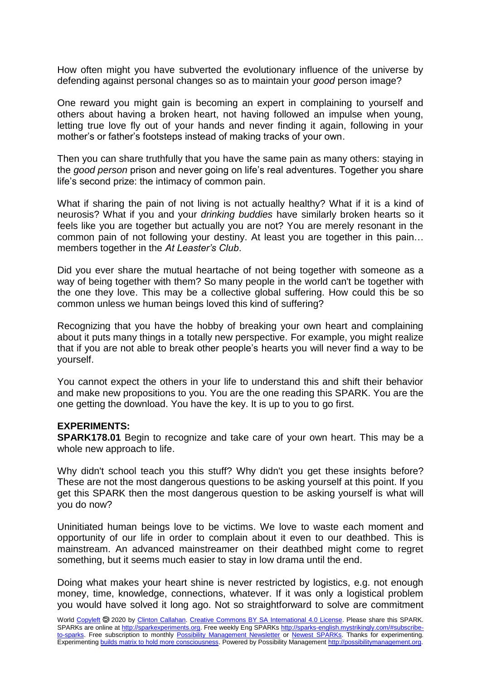How often might you have subverted the evolutionary influence of the universe by defending against personal changes so as to maintain your *good* person image?

One reward you might gain is becoming an expert in complaining to yourself and others about having a broken heart, not having followed an impulse when young, letting true love fly out of your hands and never finding it again, following in your mother's or father's footsteps instead of making tracks of your own.

Then you can share truthfully that you have the same pain as many others: staying in the *good person* prison and never going on life's real adventures. Together you share life's second prize: the intimacy of common pain.

What if sharing the pain of not living is not actually healthy? What if it is a kind of neurosis? What if you and your *drinking buddies* have similarly broken hearts so it feels like you are together but actually you are not? You are merely resonant in the common pain of not following your destiny. At least you are together in this pain… members together in the *At Leaster's Club*.

Did you ever share the mutual heartache of not being together with someone as a way of being together with them? So many people in the world can't be together with the one they love. This may be a collective global suffering. How could this be so common unless we human beings loved this kind of suffering?

Recognizing that you have the hobby of breaking your own heart and complaining about it puts many things in a totally new perspective. For example, you might realize that if you are not able to break other people's hearts you will never find a way to be yourself.

You cannot expect the others in your life to understand this and shift their behavior and make new propositions to you. You are the one reading this SPARK. You are the one getting the download. You have the key. It is up to you to go first.

## **EXPERIMENTS:**

**SPARK178.01** Begin to recognize and take care of your own heart. This may be a whole new approach to life.

Why didn't school teach you this stuff? Why didn't you get these insights before? These are not the most dangerous questions to be asking yourself at this point. If you get this SPARK then the most dangerous question to be asking yourself is what will you do now?

Uninitiated human beings love to be victims. We love to waste each moment and opportunity of our life in order to complain about it even to our deathbed. This is mainstream. An advanced mainstreamer on their deathbed might come to regret something, but it seems much easier to stay in low drama until the end.

Doing what makes your heart shine is never restricted by logistics, e.g. not enough money, time, knowledge, connections, whatever. If it was only a logistical problem you would have solved it long ago. Not so straightforward to solve are commitment